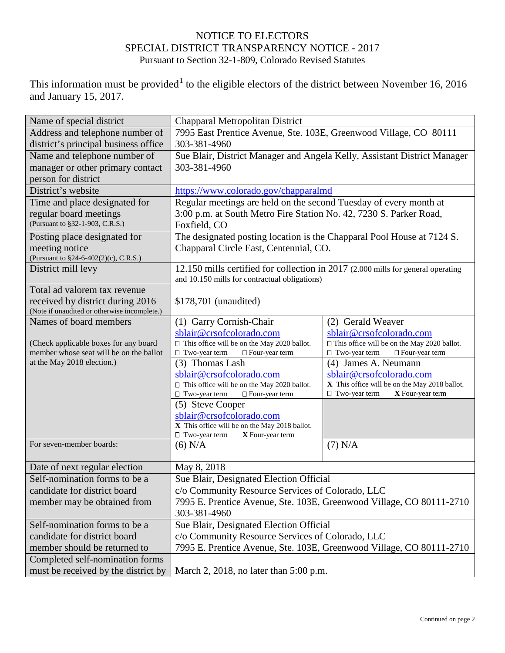## NOTICE TO ELECTORS SPECIAL DISTRICT TRANSPARENCY NOTICE - 2017 Pursuant to Section 32-1-809, Colorado Revised Statutes

This information must be provided<sup>[1](#page-1-0)</sup> to the eligible electors of the district between November 16, 2016 and January 15, 2017.

| Name of special district                     | Chapparal Metropolitan District                                                  |                                                                           |  |
|----------------------------------------------|----------------------------------------------------------------------------------|---------------------------------------------------------------------------|--|
| Address and telephone number of              | 7995 East Prentice Avenue, Ste. 103E, Greenwood Village, CO 80111                |                                                                           |  |
| district's principal business office         | 303-381-4960                                                                     |                                                                           |  |
| Name and telephone number of                 | Sue Blair, District Manager and Angela Kelly, Assistant District Manager         |                                                                           |  |
| manager or other primary contact             | 303-381-4960                                                                     |                                                                           |  |
| person for district                          |                                                                                  |                                                                           |  |
| District's website                           | https://www.colorado.gov/chapparalmd                                             |                                                                           |  |
| Time and place designated for                | Regular meetings are held on the second Tuesday of every month at                |                                                                           |  |
| regular board meetings                       | 3:00 p.m. at South Metro Fire Station No. 42, 7230 S. Parker Road,               |                                                                           |  |
| (Pursuant to §32-1-903, C.R.S.)              | Foxfield, CO                                                                     |                                                                           |  |
| Posting place designated for                 | The designated posting location is the Chapparal Pool House at 7124 S.           |                                                                           |  |
| meeting notice                               | Chapparal Circle East, Centennial, CO.                                           |                                                                           |  |
| (Pursuant to §24-6-402(2)(c), C.R.S.)        |                                                                                  |                                                                           |  |
| District mill levy                           | 12.150 mills certified for collection in 2017 (2.000 mills for general operating |                                                                           |  |
|                                              | and 10.150 mills for contractual obligations)                                    |                                                                           |  |
| Total ad valorem tax revenue                 |                                                                                  |                                                                           |  |
| received by district during 2016             | \$178,701 (unaudited)                                                            |                                                                           |  |
| (Note if unaudited or otherwise incomplete.) |                                                                                  |                                                                           |  |
| Names of board members                       | (1) Garry Cornish-Chair                                                          | (2) Gerald Weaver                                                         |  |
|                                              | sblair@crsofcolorado.com                                                         | sblair@crsofcolorado.com                                                  |  |
| (Check applicable boxes for any board        | □ This office will be on the May 2020 ballot.                                    | □ This office will be on the May 2020 ballot.                             |  |
| member whose seat will be on the ballot      | $\hfill\Box$<br>Two-year term<br>□ Four-year term                                | $\Box$ Two-year term<br>□ Four-year term                                  |  |
| at the May 2018 election.)                   | (3) Thomas Lash                                                                  | (4) James A. Neumann                                                      |  |
|                                              | sblair@crsofcolorado.com<br>$\Box$ This office will be on the May 2020 ballot.   | sblair@crsofcolorado.com<br>X This office will be on the May 2018 ballot. |  |
|                                              | $\Box$ Two-year term<br>□ Four-year term                                         | □ Two-year term<br>X Four-year term                                       |  |
|                                              | (5) Steve Cooper                                                                 |                                                                           |  |
|                                              | sblair@crsofcolorado.com                                                         |                                                                           |  |
|                                              | X This office will be on the May 2018 ballot.                                    |                                                                           |  |
|                                              | $\Box$ Two-year term<br>X Four-year term                                         |                                                                           |  |
| For seven-member boards:                     | $(6)$ N/A                                                                        | $(7)$ N/A                                                                 |  |
|                                              |                                                                                  |                                                                           |  |
| Date of next regular election                | May 8, 2018                                                                      |                                                                           |  |
| Self-nomination forms to be a                | Sue Blair, Designated Election Official                                          |                                                                           |  |
| candidate for district board                 | c/o Community Resource Services of Colorado, LLC                                 |                                                                           |  |
| member may be obtained from                  | 7995 E. Prentice Avenue, Ste. 103E, Greenwood Village, CO 80111-2710             |                                                                           |  |
|                                              | 303-381-4960                                                                     |                                                                           |  |
| Self-nomination forms to be a                | Sue Blair, Designated Election Official                                          |                                                                           |  |
| candidate for district board                 | c/o Community Resource Services of Colorado, LLC                                 |                                                                           |  |
| member should be returned to                 | 7995 E. Prentice Avenue, Ste. 103E, Greenwood Village, CO 80111-2710             |                                                                           |  |
| Completed self-nomination forms              |                                                                                  |                                                                           |  |
| must be received by the district by          | March 2, 2018, no later than 5:00 p.m.                                           |                                                                           |  |